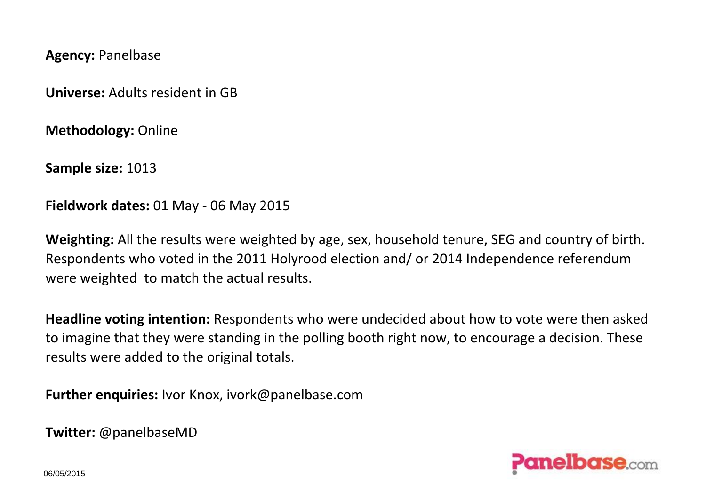**Agency:** Panelbase

**Universe:** Adults resident in GB

**Methodology:** Online

**Sample size:** 1013

**Fieldwork dates:** 01 May - 06 May 2015

**Weighting:** All the results were weighted by age, sex, household tenure, SEG and country of birth. Respondents who voted in the 2011 Holyrood election and/ or 2014 Independence referendum were weighted to match the actual results.

**Headline voting intention:** Respondents who were undecided about how to vote were then asked to imagine that they were standing in the polling booth right now, to encourage a decision. These results were added to the original totals.

**Further enquiries:** Ivor Knox, ivork@panelbase.com

**Twitter:** @panelbaseMD



06/05/2015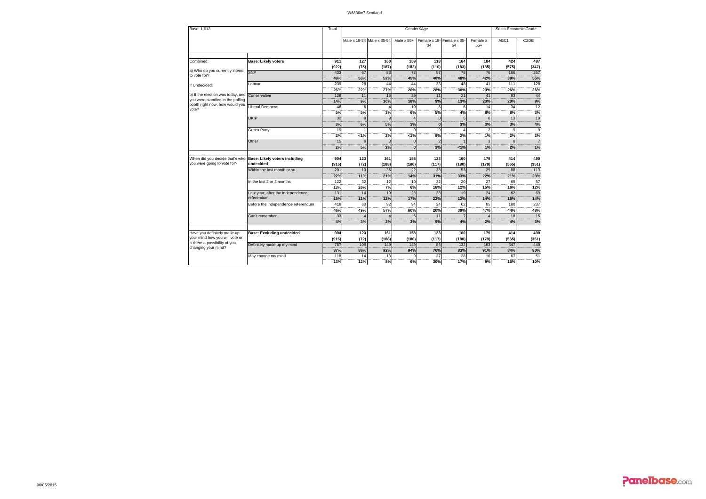| Base: 1,013                                                           |                                      | Total    |         |                           |              | GenderXAge               |                    |                      | Socio-Economic Grade |                   |  |  |
|-----------------------------------------------------------------------|--------------------------------------|----------|---------|---------------------------|--------------|--------------------------|--------------------|----------------------|----------------------|-------------------|--|--|
|                                                                       |                                      |          |         | Male x 18-34 Male x 35-54 | Male $x 55+$ | Female x 18-<br>34       | Female x 35-<br>54 | Female x<br>$55+$    | ABC1                 | C <sub>2</sub> DE |  |  |
|                                                                       |                                      |          |         |                           |              |                          |                    |                      |                      |                   |  |  |
| Combined:                                                             | <b>Base: Likely voters</b>           | 911      | 127     | 160                       | 159          | 118                      | 164                | 184                  | 424                  | 487               |  |  |
| a) Who do you currently intend                                        |                                      | (922)    | (75)    | (187)                     | (182)        | (110)                    | (183)              | (185)                | (575)                | (347)             |  |  |
| to vote for?                                                          | SNP                                  | 433      | 67      | 83                        | 72           | 57                       | 78                 | 76                   | 166                  | 267               |  |  |
|                                                                       |                                      | 48%      | 53%     | 52%                       | 45%          | 48%                      | 48%                | 42%                  | 39%                  | 55%               |  |  |
| If Undecided:                                                         | Labour                               | 239      | 28      | 44                        | 44           | 33                       | 48                 | 41                   | 111                  | 128               |  |  |
|                                                                       |                                      | 26%      | 22%     | 27%                       | 28%          | 28%                      | 30%                | 23%                  | 26%                  | 26%               |  |  |
| b) If the election was today, and<br>you were standing in the polling | Conservative                         | 128      | 11      | 15                        | 29           | 11                       | 21                 | 41                   | 83                   | 44                |  |  |
| booth right now, how would you                                        |                                      | 14%      | 9%<br>6 | 10%                       | 18%<br>10    | 9%                       | 13%                | 23%                  | 20%                  | 9%<br>12          |  |  |
| vote?                                                                 | Liberal Democrat                     | 46       |         |                           |              | 6                        |                    | 14                   | 34                   |                   |  |  |
|                                                                       |                                      | 5%<br>32 | 5%      | 3%<br>$\mathbf{q}$        | 6%           | 5%                       | 4%                 | 8%                   | 8%<br>13             | 3%<br>19          |  |  |
|                                                                       | UKIP                                 |          | 8       |                           |              | $\Omega$<br>$\bf{0}$     |                    |                      |                      |                   |  |  |
|                                                                       |                                      | 3%<br>19 | 6%      | 5%<br>3                   | 3%           | 9                        | 3%                 | 3%<br>$\mathfrak{D}$ | 3%<br>9              | 4%<br>9           |  |  |
|                                                                       | Green Party                          | 2%       | 1%      | 2%                        |              | 8%                       | 2%                 |                      |                      | 2%                |  |  |
|                                                                       |                                      |          | 6       | 3                         | 1%           | $\overline{\phantom{0}}$ |                    | 1%<br>з              | 2%                   |                   |  |  |
|                                                                       | Other                                | 15<br>2% | 5%      | 2%                        | n            | 2%                       | 1%                 | 1%                   | 8<br>2%              | 1%                |  |  |
|                                                                       |                                      |          |         |                           |              |                          |                    |                      |                      |                   |  |  |
| When did you decide that's who                                        | <b>Base: Likely voters including</b> | 904      | 123     | 161                       | 158          | 123                      | 160                | 179                  | 414                  | 490               |  |  |
| you were going to vote for?                                           | undecided                            | (916)    | (72)    | (188)                     | (180)        | (117)                    | (180)              | (179)                | (565)                | (351)             |  |  |
|                                                                       | Within the last month or so          | 201      | 13      | 35                        | 22           | 38                       | 53                 | 39                   | 88                   | 113               |  |  |
|                                                                       |                                      | 22%      | 11%     | 21%                       | 14%          | 31%                      | 33%                | 22%                  | 21%                  | 23%               |  |  |
|                                                                       | In the last 2 or 3 months            | 122      | 32      | 12                        | 10           | 22                       | 20                 | 27                   | 65                   | 57                |  |  |
|                                                                       |                                      | 13%      | 26%     | 7%                        | 6%           | 18%                      | 12%                | 15%                  | 16%                  | 12%               |  |  |
|                                                                       | Last year, after the independence    | 131      | 14      | 19                        | 28           | 28                       | 19                 | 24                   | 62                   | 69                |  |  |
|                                                                       | referendum                           | 15%      | 11%     | 12%                       | 17%          | 22%                      | 12%                | 14%                  | 15%                  | 14%               |  |  |
|                                                                       | Before the independence referendum   | 418      | 60      | 92                        | 94           | 24                       | 62                 | 85                   | 180                  | 237               |  |  |
|                                                                       |                                      | 46%      | 49%     | 57%                       | 60%          | 20%                      | 39%                | 47%                  | 44%                  | 48%               |  |  |
|                                                                       | Can't remember                       | 33       |         |                           |              | 11                       |                    |                      | 18                   | 15                |  |  |
|                                                                       |                                      | 4%       | 3%      | 2%                        | 3%           | 9%                       | 4%                 | 2%                   | 4%                   | 3%                |  |  |
|                                                                       |                                      |          |         |                           |              |                          |                    |                      |                      |                   |  |  |
| Have you definitely made up                                           | <b>Base: Excluding undecided</b>     | 904      | 123     | 161                       | 158          | 123                      | 160                | 179                  | 414                  | 490               |  |  |
| your mind how you will vote or<br>is there a possibility of you       |                                      | (916)    | (72)    | (188)                     | (180)        | (117)                    | (180)              | (179)                | (565)                | (351)             |  |  |
| changing your mind?                                                   | Definitely made up my mind           | 787      | 109     | 149                       | 149          | 86                       | 132                | 163                  | 347                  | 440               |  |  |
|                                                                       |                                      | 87%      | 88%     | 92%                       | 94%          | 70%                      | 83%                | 91%                  | 84%                  | 90%               |  |  |
|                                                                       | May change my mind                   | 118      | 14      | 13                        |              | 37                       | 28                 | 16                   | 67                   | 51                |  |  |
|                                                                       |                                      | 13%      | 12%     | 8%                        | 6%           | 30%                      | 17%                | 9%                   | 16%                  | 10%               |  |  |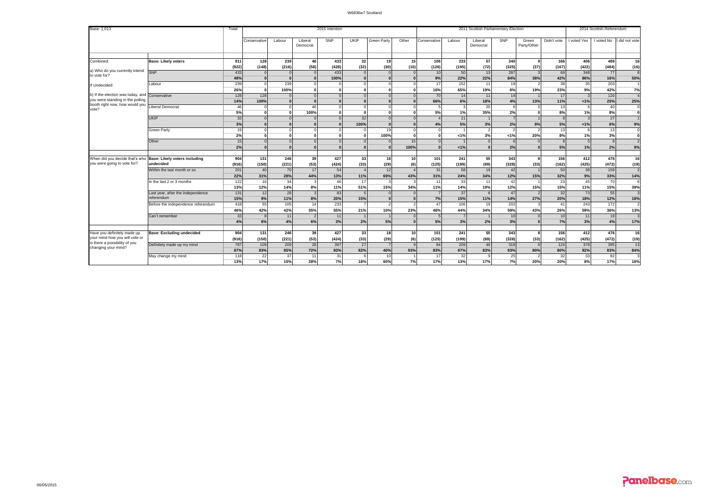| Base: 1,013                                                   |                                      |              |                 |            |                     | 2015 intention |             |                      |                 | 2011 Scottish Parliamentary Election |                           |                     |                |                      |             | 2014 Scottish Referendum |              |              |
|---------------------------------------------------------------|--------------------------------------|--------------|-----------------|------------|---------------------|----------------|-------------|----------------------|-----------------|--------------------------------------|---------------------------|---------------------|----------------|----------------------|-------------|--------------------------|--------------|--------------|
|                                                               |                                      |              | Conservative    | Labour     | Liberal<br>Democrat | SNP            | <b>UKIP</b> | <b>Green Party</b>   | Other           | Conservative                         | Labour                    | Liberal<br>Democrat | SNP            | Green<br>Party/Other | Didn't vote | I voted Yes              | I voted No   | did not vote |
|                                                               |                                      |              |                 |            |                     |                |             |                      |                 |                                      |                           |                     |                |                      |             |                          |              |              |
| Combined:                                                     | <b>Base: Likely voters</b>           | 911          | 128             | 239        | 46                  | 433            | 32          | 19                   | 15              | 106                                  | 233                       | 57                  | 340            | 9                    | 166         | 406                      | 489          | 16           |
| a) Who do you currently intend                                |                                      | (922)        | (148)           | (216)      | (58)                | (428)          | (32)        | (30)                 | (10)            | (126)                                | (195)                     | (72)                | (325)          | (37)                 | (167)       | (422)                    | (484)        | (16)         |
| to vote for?                                                  | SNP                                  | 433<br>48%   |                 | $\Omega$   | $\Omega$            | 433            |             | $\Omega$             |                 | 10                                   | 50<br>22%                 | 13                  | 287            |                      | 69          | 348                      | 77           |              |
|                                                               |                                      | 239          |                 | 239        | $\Omega$            | 100%           |             | $\Omega$<br>$\Omega$ |                 | 9%<br>17                             |                           | 22%<br>11           | 84%<br>19      | 38%                  | 42%<br>38   | 86%                      | 16%<br>203   | 50%          |
| If Undecided:                                                 | Labour                               | -----        |                 |            | $\Omega$            |                |             |                      |                 |                                      | 152<br>$-100 - 100 = 100$ |                     |                |                      |             | 35<br>                   |              | ----         |
| b) If the election was today, and                             | Conservative                         | 26%<br>128   | $\Omega$<br>128 | 100%       | $\Omega$            |                |             | $\Omega$<br>$\Omega$ |                 | 16%<br>70                            | 65%<br>14                 | 19%<br>11           | 6%<br>14       | 19%                  | 23%<br>17   | 9%                       | 42%<br>120   | 7%           |
| you were standing in the polling                              |                                      | 14%          | 100%            |            | $\Omega$            |                |             |                      |                 | 66%                                  | 6%                        | 18%                 | 4%             | 13%                  | 11%         | 1%                       | 25%          | 25%          |
| booth right now, how would you                                | iberal Democrat                      | 46           |                 |            | 46                  |                |             |                      |                 |                                      |                           | 20                  | 6              |                      | 13          |                          | 40           |              |
| vote?                                                         |                                      | <br>5%       |                 | $\sqrt{2}$ | 100%                |                |             | $\Omega$             |                 | 5%                                   | 1%                        | 35%                 | 2%             |                      | 8%          | 1%                       | 8%           |              |
|                                                               | UKIP                                 | 32           |                 |            |                     |                | 32          | $\Omega$             |                 |                                      | 11                        |                     | $\overline{7}$ |                      |             |                          | 27           |              |
|                                                               |                                      | 3%           |                 |            |                     |                | 100%        | $\Omega$             |                 | 4%                                   | 5%                        | 3%                  | 2%             | 9%                   | 5%          | 1%                       | 6%           | 9%           |
|                                                               | Green Party                          | 19           |                 |            | $\Omega$            |                |             | 19                   |                 |                                      |                           |                     |                |                      |             |                          | 13           |              |
|                                                               |                                      | 2%           |                 | $\sqrt{2}$ | $\Omega$            |                |             | 100%                 |                 |                                      | 1%                        | 3%                  | 1%             | 20%                  | 8%          | 1%                       | 3%           |              |
|                                                               | Other                                | 15           |                 | $\Omega$   | $\Omega$            |                |             | $\Omega$             | 15              |                                      |                           |                     | 6              |                      |             |                          | $\mathbf{R}$ |              |
|                                                               |                                      | 2%           | $\Omega$        | $\Omega$   | $\Omega$            |                |             | $\Omega$             | 100%            |                                      | 1%                        |                     | 2%             |                      | 5%          | 1%                       | 2%           | 9%           |
|                                                               |                                      |              |                 |            |                     |                |             |                      |                 |                                      |                           |                     |                |                      |             |                          |              |              |
| When did you decide that's who                                | <b>Base: Likely voters including</b> | 904          | 131             | 246        | 39                  | 427            | 33          | <b>18</b>            | 10 <sup>1</sup> | 101                                  | 241                       | 55                  | 343            | 8                    | 156         | 412                      | 476          | 16           |
| you were going to vote for?                                   | undecided                            | (916)        | (150)           | (221)      | (53)                | (424)          | (33)        | (29)                 | (6)             | (125)                                | (199)                     | (69)                | (328)          | (33)                 | (162)       | (425)                    | (472)        | (19)         |
|                                                               | Within the last month or so          | 201          | 40              | 70         | 17                  | 54             |             | 12                   |                 | 31                                   | 58                        | 19                  | 42             |                      | 50          | 39                       | 159          |              |
|                                                               |                                      | -----<br>22% | 31%             | 28%        | 44%                 | 13%            | 11%         | 69%                  | 43%             | 31%                                  | 24%                       | 34%                 | 12%            | 15%                  | 32%         | 9%                       | 33%          | 14%          |
|                                                               | in the last 2 or 3 months            | 122          | 16              | 34         |                     | 46             | 17          |                      |                 | 11                                   | 33                        | 11                  | 42             |                      | 23          | 45                       | 70           |              |
|                                                               |                                      | 13%          | 12%             | 14%        | 8%                  | 11%            | 51%         | 15%                  | 34%             | 11%                                  | 14%                       | 19%                 | 12%            | 15%                  | 15%         | 11%                      | 15%          | 39%          |
|                                                               | Last year, after the independence    | 131          | 12              | 28         | $\mathbf{3}$        | 83             |             | $\Omega$             |                 |                                      | 37                        |                     | 47             |                      | 32          | 73                       | 55           |              |
|                                                               | referendum                           | 15%          | 9%              | 11%        | 8%                  | 20%            | 15%         | $\Omega$             |                 | 7%                                   | 15%                       | 11%                 | 14%            | 27%                  | 20%         | 18%                      | 12%          | 18%          |
|                                                               | Before the independence referendum   | 418          | 55              | 105        | 14                  | 233            |             |                      |                 | 47                                   | 106                       | 19                  | 202            | $\mathbf{R}$         | 41          | 243                      | 172          |              |
|                                                               |                                      | 46%          | 42%             | 42%        | 35%                 | 55%            | 21%         | 10%                  | 23%             | 46%                                  | 44%                       | 34%                 | 59%            | 43%                  | 26%         | 59%                      | 36%          | $-13%$       |
|                                                               | Can't remember                       | 33           |                 | 11         | $\overline{2}$      | 11             |             |                      |                 |                                      |                           |                     | 10             |                      | 10          | 11                       | 19           |              |
|                                                               |                                      | 4%           | 6%              | 4%         | 6%                  | 3%             | 2%          | 5%                   |                 | 5%                                   | 3%                        | 2%                  | 3%             |                      | 7%          | 3%                       | 4%           | 17%          |
|                                                               |                                      |              |                 |            |                     |                |             |                      |                 |                                      |                           |                     |                |                      |             |                          |              |              |
| Have you definitely made up<br>your mind how you will vote or | <b>Base: Excluding undecided</b>     | 904          | 131             | 246        | 39                  | 427            | 33          | <b>18</b>            | 10 <sup>1</sup> | 101                                  | 241                       | 55                  | 343            | 8                    | 156         | 412                      | 476          | 16           |
| is there a possibility of you                                 |                                      | (916)        | (150)           | (221)      | (53)                | (424)          | (33)        | (29)                 | (6)             | (125)                                | (199)                     | (69)                | (328)          | (33)                 | (162)       | (425)                    | (472)        | (19)         |
| changing your mind?                                           | Definitely made up my mind           | 787<br>87%   | 109             | 209        | 28                  | 397            | 27          |                      |                 | 84                                   | 209                       | 46                  | 318            |                      | 124         | 378                      | 395          | 13           |
|                                                               |                                      |              | 83%             | 85%        | 72%                 | 93%            | 82%         | 40%                  | 93%             | 83%                                  | 87%                       | 83%                 | 93%            | 80%                  | 80%         | 92%                      | 83%          | 84%          |
|                                                               | May change my mind                   | 118<br>      | 22              | 37         | 11                  | 31             |             | 10                   |                 | 17<br>17%                            | 32                        |                     | 25             |                      | 32          | 33                       | 82           |              |
|                                                               |                                      | 13%          | 17%             | 15%        | 28%                 | 7%             | 18%         | 60%                  | 7%              |                                      | 13%                       | 17%                 | 7%             | 20%                  | 20%         | 8%                       | 17%          | 16%          |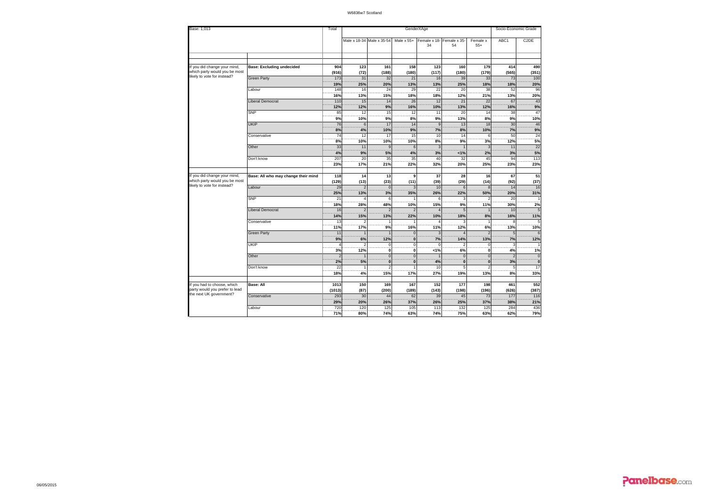| Base: 1,013                                                   |                                     |                      |                |                                      |                                  | GenderXAge         |                    |                          | Socio-Economic Grade  |                   |  |  |  |
|---------------------------------------------------------------|-------------------------------------|----------------------|----------------|--------------------------------------|----------------------------------|--------------------|--------------------|--------------------------|-----------------------|-------------------|--|--|--|
|                                                               |                                     |                      |                | Male x 18-34 Male x 35-54 Male x 55+ |                                  | Female x 18-<br>34 | Female x 35-<br>54 | Female x<br>$55+$        | ABC1                  | C <sub>2</sub> DE |  |  |  |
|                                                               |                                     |                      |                |                                      |                                  |                    |                    |                          |                       |                   |  |  |  |
|                                                               |                                     |                      |                |                                      |                                  |                    |                    |                          |                       |                   |  |  |  |
| If you did change your mind,<br>which party would you be most | <b>Base: Excluding undecided</b>    | 904<br>(916)         | 123<br>(72)    | 161<br>(188)                         | 158<br>(180)                     | 123<br>(117)       | 160<br>(180)       | 179<br>(179)             | 414<br>(565)          | 490<br>(351)      |  |  |  |
| likely to vote for instead?                                   | <b>Green Party</b>                  | 173                  | 31             | 32                                   | 21                               | 16                 | 39                 | 33                       | 73                    | 100               |  |  |  |
|                                                               |                                     | 19%                  | 25%            | 20%                                  | 13%                              | 13%                | 25%                | 18%                      | 18%                   | 20%               |  |  |  |
|                                                               | abour                               | 148                  | 16             | 24                                   | 29                               | 22                 | 20                 | 38                       | 52                    | 96                |  |  |  |
|                                                               |                                     | 16%                  | 13%            | 15%                                  | 18%                              | 18%                | 12%                | 21%                      | 13%                   | 20%               |  |  |  |
|                                                               | Liberal Democrat                    | 110                  | 15             | 14                                   | 26                               | 12                 | 21                 | 22                       | 67                    | 43                |  |  |  |
|                                                               | <b>SNP</b>                          | 12%                  | 12%            | 9%<br>15                             | 16%                              | 10%                | 13%                | 12%                      | 16%<br>38             | 9%<br>47          |  |  |  |
|                                                               |                                     | 85<br>9%             | 12<br>10%      | 9%                                   | 12<br>8%                         | 11<br>9%           | 20<br>13%          | 14<br>$\overline{8\%}$   |                       | 10%               |  |  |  |
|                                                               | UKIP                                | 76                   | 6              | 17                                   | 14                               | $\mathbf{q}$       | 13                 | 18                       | 9%<br>30 <sup>1</sup> | 46                |  |  |  |
|                                                               |                                     |                      |                | 10%                                  | 9%                               |                    | 8%                 | 10%                      |                       | 9%                |  |  |  |
|                                                               | Conservative                        | 8%<br>74             | 4%<br>12       | 17                                   | 15                               | 7%<br>10           | 14                 | 6                        | 7%<br>50              | 24                |  |  |  |
|                                                               |                                     | 8%                   | 10%            | 10%                                  | 10%                              | 8%                 | 9%                 | 3%                       | 12%                   | 5%                |  |  |  |
|                                                               | Other                               | 33                   | 11             | $\mathbf{q}$                         | 6                                | $\mathbf{3}$       |                    |                          | 11                    | 22                |  |  |  |
|                                                               |                                     | 4%                   | 9%             | 5%                                   | 4%                               | 3%                 | 1%                 | 2%                       | 3%                    | 5%                |  |  |  |
|                                                               | Don't know                          | 207                  | 20             | 35                                   | 35                               | 40                 | 32                 | 45                       | 94                    | 113               |  |  |  |
|                                                               |                                     | 23%                  | 17%            | 21%                                  | 22%                              | 32%                | 20%                | 25%                      | 23%                   | 23%               |  |  |  |
|                                                               |                                     |                      |                |                                      |                                  |                    |                    |                          |                       |                   |  |  |  |
| If you did change your mind,                                  | Base: All who may change their mind | 118                  | 14             | 13                                   | $\overline{9}$                   | 37                 | 28                 | 16                       | 67                    | 51                |  |  |  |
| which party would you be most                                 |                                     | (129)                | (13)           | (23)                                 | (11)                             | (39)               | (29)               | (14)                     | (92)                  | (37)              |  |  |  |
| likely to vote for instead?                                   | Labour                              | 29                   |                | $\Omega$                             |                                  | 10                 | 6                  |                          | 14                    | 16                |  |  |  |
|                                                               |                                     | 25%                  | 13%            | 3%                                   | 35%                              | 26%                | 22%                | 50%                      | 20%                   | 31%               |  |  |  |
|                                                               | <b>SNP</b>                          | 21                   |                | 6                                    |                                  | 6                  |                    |                          | 20                    |                   |  |  |  |
|                                                               |                                     | 18%                  | 28%            | 48%                                  | 10%                              | 15%                | 9%                 | 11%                      | 30%                   | 2%                |  |  |  |
|                                                               | Liberal Democrat                    | 16                   |                |                                      |                                  |                    |                    |                          | 10                    |                   |  |  |  |
|                                                               |                                     | 14%                  | 15%            | 13%                                  | 22%                              | 10%                | 18%                | 8%                       | 16%                   | 11%               |  |  |  |
|                                                               | Conservative                        | 13                   |                |                                      |                                  |                    |                    |                          | 8                     |                   |  |  |  |
|                                                               |                                     | 11%                  | 17%            | 9%                                   | 16%                              | 11%                | 12%                | 6%                       | 13%                   | 10%               |  |  |  |
|                                                               | <b>Green Party</b>                  | 11                   |                |                                      | $\mathbf{0}$                     | 3                  |                    |                          | 5                     |                   |  |  |  |
|                                                               |                                     | 9%                   | 6%             | 12%                                  | $\overline{\mathbf{0}}$          | 7%                 | 14%                | 13%                      | 7%                    | 12%               |  |  |  |
|                                                               | UKIP                                | $\Delta$             | $\mathfrak{D}$ | $\Omega$                             | $\overline{0}$                   | $\Omega$           |                    | $\Omega$                 | 3                     |                   |  |  |  |
|                                                               | Other                               | 3%<br>$\overline{2}$ | 12%            | $\mathbf 0$<br>$\overline{0}$        | $\overline{0}$<br>$\overline{0}$ | 1%                 | 6%<br>$\Omega$     | $\mathbf{0}$<br>$\Omega$ | 4%<br>$\overline{2}$  | 1%<br>$\mathbf 0$ |  |  |  |
|                                                               |                                     | 2%                   | 5%             | $\mathbf{0}$                         | $\overline{\mathbf{0}}$          | 4%                 | $\mathbf{0}$       | $\mathbf{0}$             | 3%                    | $\mathbf{0}$      |  |  |  |
|                                                               | Don't know                          | 22                   | 1              | $\overline{\phantom{a}}$             |                                  | 10                 | 5                  |                          | $\sqrt{5}$            | 17                |  |  |  |
|                                                               |                                     | 18%                  | 4%             | 15%                                  | 17%                              | 27%                | 19%                | 13%                      | 8%                    | 33%               |  |  |  |
|                                                               |                                     |                      |                |                                      |                                  |                    |                    |                          |                       |                   |  |  |  |
| If you had to choose, which                                   | Base: All                           | 1013                 | 150            | 169                                  | 167                              | 152                | 177                | 198                      | 461                   | 552               |  |  |  |
| party would you prefer to lead                                |                                     | (1013)               | (87)           | (200)                                | (189)                            | (143)              | (198)              | (196)                    | (626)                 | (387)             |  |  |  |
| the next UK government?                                       | Conservative                        | 293                  | 30             | 44                                   | 62                               | 39                 | 45                 | 73                       | 177                   | 116               |  |  |  |
|                                                               |                                     | 29%                  | 20%            | 26%                                  | 37%                              | 26%                | 25%                | 37%                      | 38%                   | 21%               |  |  |  |
|                                                               | Labour                              | 720                  | 120            | 125                                  | 105                              | 113                | 132                | 125                      | 284                   | 436               |  |  |  |
|                                                               |                                     |                      |                |                                      |                                  |                    |                    |                          |                       |                   |  |  |  |

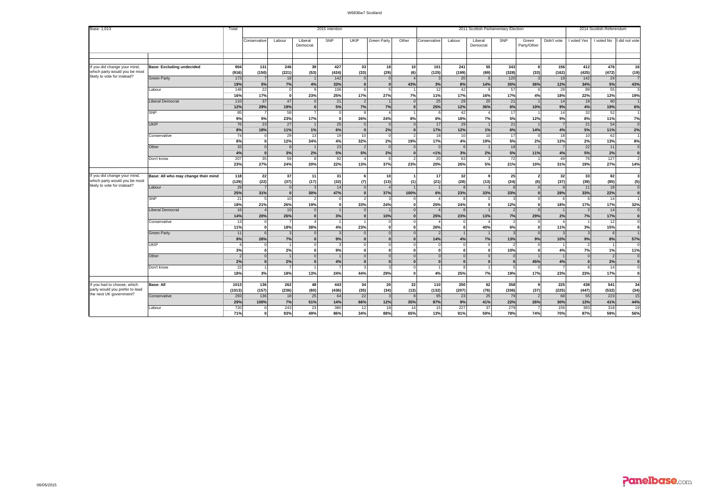| SNP<br>UKIP<br>SNP<br>Didn't vote<br>I did not vote<br>Labour<br>Liberal<br>Green Party<br>Other<br>Labour<br>Green<br>I voted Yes<br>I voted No<br>Conservative<br>Conservative<br>Liberal<br>Party/Other<br>Democrat<br>Democrat<br>If you did change your mind<br>904<br>246<br>55<br>156<br>476<br>16<br>131<br>39<br>427<br>33<br>18<br>10 <sup>1</sup><br>101<br>241<br>343<br>412<br><b>Base: Excluding undecided</b><br>$\mathbf{R}$<br>(150)<br>(221)<br>(53)<br>(33)<br>(29)<br>(125)<br>(199)<br>(69)<br>(328)<br>(33)<br>(162)<br>(425)<br>(472)<br>(19)<br>(916)<br>(424)<br>(6)<br>likely to vote for instead?<br>173<br><b>Green Party</b><br>18<br>142<br>20<br>120<br>19<br>142<br>24<br>3<br>$\overline{7}$<br>$\overline{1}$<br>$\Omega$<br>$\Omega$<br>12%<br>43%<br>19%<br>5%<br>7%<br>4%<br>33%<br>43%<br>3%<br>8%<br>14%<br>35%<br>36%<br>34%<br>5%<br>$\Omega$<br>$\mathbf{0}$<br>148<br>22<br>106<br>29<br>55<br>Labour<br>12<br>42<br>57<br>89<br>-9<br>$^{\circ}$<br>9<br>17%<br>18%<br>16%<br>23%<br>25%<br>17%<br>27%<br>7%<br>11%<br>17%<br>16%<br>17%<br>4%<br>22%<br>12%<br>19%<br>οl<br>110<br>47<br>25<br>29<br>20<br>21<br><b>Liberal Democrat</b><br>37<br>21<br>14<br>18<br>90<br>19%<br>12%<br>29%<br>5%<br>7%<br>7%<br>25%<br>12%<br>36%<br>6%<br>10%<br>9%<br>4%<br>19%<br>6%<br><b>SNP</b><br>85<br>58<br>42<br>17<br>32<br>52<br>14<br>9%<br>5%<br>8%<br>23%<br>17%<br>24%<br>18%<br>9%<br>6%<br>12%<br>7%<br>26%<br>8%<br>7%<br>5%<br>11%<br>$\Omega$<br>76<br>25<br><b>UKIP</b><br>23<br>27<br>17<br>29<br>21<br>21<br>54<br>$\epsilon$<br>8%<br>6%<br>2%<br>2%<br>11%<br>1%<br>17%<br>12%<br>1%<br>6%<br>4%<br>5%<br>18%<br>14%<br>11%<br>74<br>29<br>13<br>19<br>10<br>18<br>10<br>10<br>17<br>18<br>10<br>62<br>Conservative<br>$\Omega$<br>- 0<br>$\overline{2\%}$<br>$\overline{2\%}$<br>$\overline{8\%}$<br>4%<br>5%<br>$\overline{2\%}$<br>12%<br>4%<br>32%<br>19%<br>17%<br>12%<br>34%<br>19%<br>13%<br>8%<br>$\Omega$<br>33<br>23<br>18<br>22<br>Other<br>$\Omega$<br>11<br>$\Omega$<br>$\mathbf{8}$<br>$\Omega$<br>$\Omega$<br>6<br>2%<br>2%<br>5%<br>4%<br>3%<br>5%<br>5%<br>1%<br>3%<br>2%<br>11%<br>4%<br>5%<br>2%<br>$\Omega$<br>$\Omega$<br>207<br>35<br>59<br>127<br>92<br>20<br>63<br>72<br>49<br>78<br>Don't know<br>37%<br>23%<br>5%<br>27%<br>20%<br>23%<br>20%<br>26%<br>21%<br>19%<br>27%<br>24%<br>22%<br>13%<br>14%<br>10%<br>31%<br>22<br>37<br>31<br>82<br>118<br>11<br>10<br>17<br>32<br>25<br>32<br>33<br>Base: All who may change their mind<br>9<br>6<br>$\overline{\phantom{a}}$<br>which party would you be most<br>(129)<br>(22)<br>(37)<br>(17)<br>(32)<br>(13)<br>(21)<br>(28)<br>(13)<br>(6)<br>(37)<br>(39)<br>(85)<br>(5)<br>(7)<br>(1)<br>(24)<br>likely to vote for instead?<br>29<br>Labour<br>14<br>11<br>18<br>$\mathbf 0$<br>$\Omega$<br>8<br>25%<br>31%<br>30%<br>47%<br>37%<br>100%<br>6%<br>23%<br>33%<br>33%<br>28%<br>33%<br>22%<br>$\Omega$<br>$\mathbf{0}$ | Base: 1,013                                               | Total | 2015 intention |  |  |  |  | 2011 Scottish Parliamentary Election |  |  |  |  |  |  | 2014 Scottish Referendum |  |  |  |
|-----------------------------------------------------------------------------------------------------------------------------------------------------------------------------------------------------------------------------------------------------------------------------------------------------------------------------------------------------------------------------------------------------------------------------------------------------------------------------------------------------------------------------------------------------------------------------------------------------------------------------------------------------------------------------------------------------------------------------------------------------------------------------------------------------------------------------------------------------------------------------------------------------------------------------------------------------------------------------------------------------------------------------------------------------------------------------------------------------------------------------------------------------------------------------------------------------------------------------------------------------------------------------------------------------------------------------------------------------------------------------------------------------------------------------------------------------------------------------------------------------------------------------------------------------------------------------------------------------------------------------------------------------------------------------------------------------------------------------------------------------------------------------------------------------------------------------------------------------------------------------------------------------------------------------------------------------------------------------------------------------------------------------------------------------------------------------------------------------------------------------------------------------------------------------------------------------------------------------------------------------------------------------------------------------------------------------------------------------------------------------------------------------------------------------------------------------------------------------------------------------------------------------------------------------------------------------------------------------------------------------------------------------------------------------------------------------------------------------------------------------------------------------------------------------------------------------------------------------------------------------------------------------------------------------------------------------------|-----------------------------------------------------------|-------|----------------|--|--|--|--|--------------------------------------|--|--|--|--|--|--|--------------------------|--|--|--|
|                                                                                                                                                                                                                                                                                                                                                                                                                                                                                                                                                                                                                                                                                                                                                                                                                                                                                                                                                                                                                                                                                                                                                                                                                                                                                                                                                                                                                                                                                                                                                                                                                                                                                                                                                                                                                                                                                                                                                                                                                                                                                                                                                                                                                                                                                                                                                                                                                                                                                                                                                                                                                                                                                                                                                                                                                                                                                                                                                           |                                                           |       |                |  |  |  |  |                                      |  |  |  |  |  |  |                          |  |  |  |
|                                                                                                                                                                                                                                                                                                                                                                                                                                                                                                                                                                                                                                                                                                                                                                                                                                                                                                                                                                                                                                                                                                                                                                                                                                                                                                                                                                                                                                                                                                                                                                                                                                                                                                                                                                                                                                                                                                                                                                                                                                                                                                                                                                                                                                                                                                                                                                                                                                                                                                                                                                                                                                                                                                                                                                                                                                                                                                                                                           |                                                           |       |                |  |  |  |  |                                      |  |  |  |  |  |  |                          |  |  |  |
|                                                                                                                                                                                                                                                                                                                                                                                                                                                                                                                                                                                                                                                                                                                                                                                                                                                                                                                                                                                                                                                                                                                                                                                                                                                                                                                                                                                                                                                                                                                                                                                                                                                                                                                                                                                                                                                                                                                                                                                                                                                                                                                                                                                                                                                                                                                                                                                                                                                                                                                                                                                                                                                                                                                                                                                                                                                                                                                                                           |                                                           |       |                |  |  |  |  |                                      |  |  |  |  |  |  |                          |  |  |  |
|                                                                                                                                                                                                                                                                                                                                                                                                                                                                                                                                                                                                                                                                                                                                                                                                                                                                                                                                                                                                                                                                                                                                                                                                                                                                                                                                                                                                                                                                                                                                                                                                                                                                                                                                                                                                                                                                                                                                                                                                                                                                                                                                                                                                                                                                                                                                                                                                                                                                                                                                                                                                                                                                                                                                                                                                                                                                                                                                                           | which party would you be most                             |       |                |  |  |  |  |                                      |  |  |  |  |  |  |                          |  |  |  |
|                                                                                                                                                                                                                                                                                                                                                                                                                                                                                                                                                                                                                                                                                                                                                                                                                                                                                                                                                                                                                                                                                                                                                                                                                                                                                                                                                                                                                                                                                                                                                                                                                                                                                                                                                                                                                                                                                                                                                                                                                                                                                                                                                                                                                                                                                                                                                                                                                                                                                                                                                                                                                                                                                                                                                                                                                                                                                                                                                           |                                                           |       |                |  |  |  |  |                                      |  |  |  |  |  |  |                          |  |  |  |
|                                                                                                                                                                                                                                                                                                                                                                                                                                                                                                                                                                                                                                                                                                                                                                                                                                                                                                                                                                                                                                                                                                                                                                                                                                                                                                                                                                                                                                                                                                                                                                                                                                                                                                                                                                                                                                                                                                                                                                                                                                                                                                                                                                                                                                                                                                                                                                                                                                                                                                                                                                                                                                                                                                                                                                                                                                                                                                                                                           |                                                           |       |                |  |  |  |  |                                      |  |  |  |  |  |  |                          |  |  |  |
|                                                                                                                                                                                                                                                                                                                                                                                                                                                                                                                                                                                                                                                                                                                                                                                                                                                                                                                                                                                                                                                                                                                                                                                                                                                                                                                                                                                                                                                                                                                                                                                                                                                                                                                                                                                                                                                                                                                                                                                                                                                                                                                                                                                                                                                                                                                                                                                                                                                                                                                                                                                                                                                                                                                                                                                                                                                                                                                                                           |                                                           |       |                |  |  |  |  |                                      |  |  |  |  |  |  |                          |  |  |  |
|                                                                                                                                                                                                                                                                                                                                                                                                                                                                                                                                                                                                                                                                                                                                                                                                                                                                                                                                                                                                                                                                                                                                                                                                                                                                                                                                                                                                                                                                                                                                                                                                                                                                                                                                                                                                                                                                                                                                                                                                                                                                                                                                                                                                                                                                                                                                                                                                                                                                                                                                                                                                                                                                                                                                                                                                                                                                                                                                                           |                                                           |       |                |  |  |  |  |                                      |  |  |  |  |  |  |                          |  |  |  |
|                                                                                                                                                                                                                                                                                                                                                                                                                                                                                                                                                                                                                                                                                                                                                                                                                                                                                                                                                                                                                                                                                                                                                                                                                                                                                                                                                                                                                                                                                                                                                                                                                                                                                                                                                                                                                                                                                                                                                                                                                                                                                                                                                                                                                                                                                                                                                                                                                                                                                                                                                                                                                                                                                                                                                                                                                                                                                                                                                           |                                                           |       |                |  |  |  |  |                                      |  |  |  |  |  |  |                          |  |  |  |
|                                                                                                                                                                                                                                                                                                                                                                                                                                                                                                                                                                                                                                                                                                                                                                                                                                                                                                                                                                                                                                                                                                                                                                                                                                                                                                                                                                                                                                                                                                                                                                                                                                                                                                                                                                                                                                                                                                                                                                                                                                                                                                                                                                                                                                                                                                                                                                                                                                                                                                                                                                                                                                                                                                                                                                                                                                                                                                                                                           |                                                           |       |                |  |  |  |  |                                      |  |  |  |  |  |  |                          |  |  |  |
|                                                                                                                                                                                                                                                                                                                                                                                                                                                                                                                                                                                                                                                                                                                                                                                                                                                                                                                                                                                                                                                                                                                                                                                                                                                                                                                                                                                                                                                                                                                                                                                                                                                                                                                                                                                                                                                                                                                                                                                                                                                                                                                                                                                                                                                                                                                                                                                                                                                                                                                                                                                                                                                                                                                                                                                                                                                                                                                                                           |                                                           |       |                |  |  |  |  |                                      |  |  |  |  |  |  |                          |  |  |  |
|                                                                                                                                                                                                                                                                                                                                                                                                                                                                                                                                                                                                                                                                                                                                                                                                                                                                                                                                                                                                                                                                                                                                                                                                                                                                                                                                                                                                                                                                                                                                                                                                                                                                                                                                                                                                                                                                                                                                                                                                                                                                                                                                                                                                                                                                                                                                                                                                                                                                                                                                                                                                                                                                                                                                                                                                                                                                                                                                                           |                                                           |       |                |  |  |  |  |                                      |  |  |  |  |  |  |                          |  |  |  |
|                                                                                                                                                                                                                                                                                                                                                                                                                                                                                                                                                                                                                                                                                                                                                                                                                                                                                                                                                                                                                                                                                                                                                                                                                                                                                                                                                                                                                                                                                                                                                                                                                                                                                                                                                                                                                                                                                                                                                                                                                                                                                                                                                                                                                                                                                                                                                                                                                                                                                                                                                                                                                                                                                                                                                                                                                                                                                                                                                           |                                                           |       |                |  |  |  |  |                                      |  |  |  |  |  |  |                          |  |  |  |
|                                                                                                                                                                                                                                                                                                                                                                                                                                                                                                                                                                                                                                                                                                                                                                                                                                                                                                                                                                                                                                                                                                                                                                                                                                                                                                                                                                                                                                                                                                                                                                                                                                                                                                                                                                                                                                                                                                                                                                                                                                                                                                                                                                                                                                                                                                                                                                                                                                                                                                                                                                                                                                                                                                                                                                                                                                                                                                                                                           |                                                           |       |                |  |  |  |  |                                      |  |  |  |  |  |  |                          |  |  |  |
|                                                                                                                                                                                                                                                                                                                                                                                                                                                                                                                                                                                                                                                                                                                                                                                                                                                                                                                                                                                                                                                                                                                                                                                                                                                                                                                                                                                                                                                                                                                                                                                                                                                                                                                                                                                                                                                                                                                                                                                                                                                                                                                                                                                                                                                                                                                                                                                                                                                                                                                                                                                                                                                                                                                                                                                                                                                                                                                                                           |                                                           |       |                |  |  |  |  |                                      |  |  |  |  |  |  |                          |  |  |  |
|                                                                                                                                                                                                                                                                                                                                                                                                                                                                                                                                                                                                                                                                                                                                                                                                                                                                                                                                                                                                                                                                                                                                                                                                                                                                                                                                                                                                                                                                                                                                                                                                                                                                                                                                                                                                                                                                                                                                                                                                                                                                                                                                                                                                                                                                                                                                                                                                                                                                                                                                                                                                                                                                                                                                                                                                                                                                                                                                                           |                                                           |       |                |  |  |  |  |                                      |  |  |  |  |  |  |                          |  |  |  |
|                                                                                                                                                                                                                                                                                                                                                                                                                                                                                                                                                                                                                                                                                                                                                                                                                                                                                                                                                                                                                                                                                                                                                                                                                                                                                                                                                                                                                                                                                                                                                                                                                                                                                                                                                                                                                                                                                                                                                                                                                                                                                                                                                                                                                                                                                                                                                                                                                                                                                                                                                                                                                                                                                                                                                                                                                                                                                                                                                           |                                                           |       |                |  |  |  |  |                                      |  |  |  |  |  |  |                          |  |  |  |
|                                                                                                                                                                                                                                                                                                                                                                                                                                                                                                                                                                                                                                                                                                                                                                                                                                                                                                                                                                                                                                                                                                                                                                                                                                                                                                                                                                                                                                                                                                                                                                                                                                                                                                                                                                                                                                                                                                                                                                                                                                                                                                                                                                                                                                                                                                                                                                                                                                                                                                                                                                                                                                                                                                                                                                                                                                                                                                                                                           |                                                           |       |                |  |  |  |  |                                      |  |  |  |  |  |  |                          |  |  |  |
|                                                                                                                                                                                                                                                                                                                                                                                                                                                                                                                                                                                                                                                                                                                                                                                                                                                                                                                                                                                                                                                                                                                                                                                                                                                                                                                                                                                                                                                                                                                                                                                                                                                                                                                                                                                                                                                                                                                                                                                                                                                                                                                                                                                                                                                                                                                                                                                                                                                                                                                                                                                                                                                                                                                                                                                                                                                                                                                                                           |                                                           |       |                |  |  |  |  |                                      |  |  |  |  |  |  |                          |  |  |  |
|                                                                                                                                                                                                                                                                                                                                                                                                                                                                                                                                                                                                                                                                                                                                                                                                                                                                                                                                                                                                                                                                                                                                                                                                                                                                                                                                                                                                                                                                                                                                                                                                                                                                                                                                                                                                                                                                                                                                                                                                                                                                                                                                                                                                                                                                                                                                                                                                                                                                                                                                                                                                                                                                                                                                                                                                                                                                                                                                                           | If you did change your mind,                              |       |                |  |  |  |  |                                      |  |  |  |  |  |  |                          |  |  |  |
|                                                                                                                                                                                                                                                                                                                                                                                                                                                                                                                                                                                                                                                                                                                                                                                                                                                                                                                                                                                                                                                                                                                                                                                                                                                                                                                                                                                                                                                                                                                                                                                                                                                                                                                                                                                                                                                                                                                                                                                                                                                                                                                                                                                                                                                                                                                                                                                                                                                                                                                                                                                                                                                                                                                                                                                                                                                                                                                                                           |                                                           |       |                |  |  |  |  |                                      |  |  |  |  |  |  |                          |  |  |  |
|                                                                                                                                                                                                                                                                                                                                                                                                                                                                                                                                                                                                                                                                                                                                                                                                                                                                                                                                                                                                                                                                                                                                                                                                                                                                                                                                                                                                                                                                                                                                                                                                                                                                                                                                                                                                                                                                                                                                                                                                                                                                                                                                                                                                                                                                                                                                                                                                                                                                                                                                                                                                                                                                                                                                                                                                                                                                                                                                                           |                                                           |       |                |  |  |  |  |                                      |  |  |  |  |  |  |                          |  |  |  |
| <b>SNP</b><br>21<br>10<br>14<br>5<br>3<br>6                                                                                                                                                                                                                                                                                                                                                                                                                                                                                                                                                                                                                                                                                                                                                                                                                                                                                                                                                                                                                                                                                                                                                                                                                                                                                                                                                                                                                                                                                                                                                                                                                                                                                                                                                                                                                                                                                                                                                                                                                                                                                                                                                                                                                                                                                                                                                                                                                                                                                                                                                                                                                                                                                                                                                                                                                                                                                                               |                                                           |       |                |  |  |  |  |                                      |  |  |  |  |  |  |                          |  |  |  |
| 26%<br>33%<br>25%<br>17%<br>32%<br>18%<br>21%<br>19%<br>24%<br>24%<br>12%<br>18%<br>17%<br>$\mathbf 0$<br>$\Omega$<br>$\sqrt{2}$                                                                                                                                                                                                                                                                                                                                                                                                                                                                                                                                                                                                                                                                                                                                                                                                                                                                                                                                                                                                                                                                                                                                                                                                                                                                                                                                                                                                                                                                                                                                                                                                                                                                                                                                                                                                                                                                                                                                                                                                                                                                                                                                                                                                                                                                                                                                                                                                                                                                                                                                                                                                                                                                                                                                                                                                                          |                                                           |       |                |  |  |  |  |                                      |  |  |  |  |  |  |                          |  |  |  |
| 16<br>10<br><b>Liberal Democrat</b><br>14<br>$\overline{2}$<br>$\overline{2}$                                                                                                                                                                                                                                                                                                                                                                                                                                                                                                                                                                                                                                                                                                                                                                                                                                                                                                                                                                                                                                                                                                                                                                                                                                                                                                                                                                                                                                                                                                                                                                                                                                                                                                                                                                                                                                                                                                                                                                                                                                                                                                                                                                                                                                                                                                                                                                                                                                                                                                                                                                                                                                                                                                                                                                                                                                                                             |                                                           |       |                |  |  |  |  |                                      |  |  |  |  |  |  |                          |  |  |  |
| 14%<br>26%<br>25%<br>7%<br>29%<br>10%<br>23%<br>13%<br>2%<br>17%<br>20%<br>3%<br>7%                                                                                                                                                                                                                                                                                                                                                                                                                                                                                                                                                                                                                                                                                                                                                                                                                                                                                                                                                                                                                                                                                                                                                                                                                                                                                                                                                                                                                                                                                                                                                                                                                                                                                                                                                                                                                                                                                                                                                                                                                                                                                                                                                                                                                                                                                                                                                                                                                                                                                                                                                                                                                                                                                                                                                                                                                                                                       |                                                           |       |                |  |  |  |  |                                      |  |  |  |  |  |  |                          |  |  |  |
| 13<br>12<br>Conservative<br>$\overline{2}$                                                                                                                                                                                                                                                                                                                                                                                                                                                                                                                                                                                                                                                                                                                                                                                                                                                                                                                                                                                                                                                                                                                                                                                                                                                                                                                                                                                                                                                                                                                                                                                                                                                                                                                                                                                                                                                                                                                                                                                                                                                                                                                                                                                                                                                                                                                                                                                                                                                                                                                                                                                                                                                                                                                                                                                                                                                                                                                |                                                           |       |                |  |  |  |  |                                      |  |  |  |  |  |  |                          |  |  |  |
| 71%<br>6%<br>3%<br>38%<br>15%<br>18%<br>23%<br>26%<br>4%<br>40%<br>11%<br>O                                                                                                                                                                                                                                                                                                                                                                                                                                                                                                                                                                                                                                                                                                                                                                                                                                                                                                                                                                                                                                                                                                                                                                                                                                                                                                                                                                                                                                                                                                                                                                                                                                                                                                                                                                                                                                                                                                                                                                                                                                                                                                                                                                                                                                                                                                                                                                                                                                                                                                                                                                                                                                                                                                                                                                                                                                                                               |                                                           |       |                |  |  |  |  |                                      |  |  |  |  |  |  |                          |  |  |  |
| 11<br><b>Green Party</b><br>6<br>$\overline{2}$                                                                                                                                                                                                                                                                                                                                                                                                                                                                                                                                                                                                                                                                                                                                                                                                                                                                                                                                                                                                                                                                                                                                                                                                                                                                                                                                                                                                                                                                                                                                                                                                                                                                                                                                                                                                                                                                                                                                                                                                                                                                                                                                                                                                                                                                                                                                                                                                                                                                                                                                                                                                                                                                                                                                                                                                                                                                                                           |                                                           |       |                |  |  |  |  |                                      |  |  |  |  |  |  |                          |  |  |  |
| 9%<br>7%<br>26%<br>9%<br>14%<br>4%<br>7%<br>13%<br>9%<br>10%<br>9%<br>8%<br>57%<br>$\sqrt{2}$<br>$\epsilon$<br>$\Omega$<br>$\mathbf{R}$<br>$\Omega$<br>$\Omega$                                                                                                                                                                                                                                                                                                                                                                                                                                                                                                                                                                                                                                                                                                                                                                                                                                                                                                                                                                                                                                                                                                                                                                                                                                                                                                                                                                                                                                                                                                                                                                                                                                                                                                                                                                                                                                                                                                                                                                                                                                                                                                                                                                                                                                                                                                                                                                                                                                                                                                                                                                                                                                                                                                                                                                                           |                                                           |       |                |  |  |  |  |                                      |  |  |  |  |  |  |                          |  |  |  |
| UKIP<br>$\Omega$<br>$\Omega$<br>$\overline{2}$<br>$\overline{2}$<br>$\Omega$<br>$\Omega$<br>$\overline{2\%}$<br>7%<br>3%<br>ົດ<br>9%<br>10%<br>4%<br>$\Omega$<br>1%<br>11%<br>$\Omega$<br>$\Omega$<br>$\mathbf{r}$<br>n<br>$\sqrt{2}$                                                                                                                                                                                                                                                                                                                                                                                                                                                                                                                                                                                                                                                                                                                                                                                                                                                                                                                                                                                                                                                                                                                                                                                                                                                                                                                                                                                                                                                                                                                                                                                                                                                                                                                                                                                                                                                                                                                                                                                                                                                                                                                                                                                                                                                                                                                                                                                                                                                                                                                                                                                                                                                                                                                     |                                                           |       |                |  |  |  |  |                                      |  |  |  |  |  |  |                          |  |  |  |
| Other<br>$\Omega$<br>$\Omega$<br>$\Omega$<br>$\Omega$<br>$\Omega$<br>$\Omega$<br>$\Omega$<br>$\mathcal{P}$                                                                                                                                                                                                                                                                                                                                                                                                                                                                                                                                                                                                                                                                                                                                                                                                                                                                                                                                                                                                                                                                                                                                                                                                                                                                                                                                                                                                                                                                                                                                                                                                                                                                                                                                                                                                                                                                                                                                                                                                                                                                                                                                                                                                                                                                                                                                                                                                                                                                                                                                                                                                                                                                                                                                                                                                                                                |                                                           |       |                |  |  |  |  |                                      |  |  |  |  |  |  |                          |  |  |  |
| 2%<br>4%<br>2%<br>4%<br>45%<br>2%<br>$\mathbf{0}$<br>$\Omega$<br>$\Omega$<br>$\epsilon$<br>$\Omega$<br>$\mathbf{0}$<br>$\Omega$                                                                                                                                                                                                                                                                                                                                                                                                                                                                                                                                                                                                                                                                                                                                                                                                                                                                                                                                                                                                                                                                                                                                                                                                                                                                                                                                                                                                                                                                                                                                                                                                                                                                                                                                                                                                                                                                                                                                                                                                                                                                                                                                                                                                                                                                                                                                                                                                                                                                                                                                                                                                                                                                                                                                                                                                                           |                                                           |       |                |  |  |  |  |                                      |  |  |  |  |  |  |                          |  |  |  |
| 22<br>14<br>Don't know<br>-8                                                                                                                                                                                                                                                                                                                                                                                                                                                                                                                                                                                                                                                                                                                                                                                                                                                                                                                                                                                                                                                                                                                                                                                                                                                                                                                                                                                                                                                                                                                                                                                                                                                                                                                                                                                                                                                                                                                                                                                                                                                                                                                                                                                                                                                                                                                                                                                                                                                                                                                                                                                                                                                                                                                                                                                                                                                                                                                              |                                                           |       |                |  |  |  |  |                                      |  |  |  |  |  |  |                          |  |  |  |
| 29%<br>7%<br>18%<br>18%<br>13%<br>25%<br>17%<br>23%<br>23%<br>17%<br>3%<br>24%<br>44%<br>4%<br>19%<br>$\Omega$                                                                                                                                                                                                                                                                                                                                                                                                                                                                                                                                                                                                                                                                                                                                                                                                                                                                                                                                                                                                                                                                                                                                                                                                                                                                                                                                                                                                                                                                                                                                                                                                                                                                                                                                                                                                                                                                                                                                                                                                                                                                                                                                                                                                                                                                                                                                                                                                                                                                                                                                                                                                                                                                                                                                                                                                                                            |                                                           |       |                |  |  |  |  |                                      |  |  |  |  |  |  |                          |  |  |  |
|                                                                                                                                                                                                                                                                                                                                                                                                                                                                                                                                                                                                                                                                                                                                                                                                                                                                                                                                                                                                                                                                                                                                                                                                                                                                                                                                                                                                                                                                                                                                                                                                                                                                                                                                                                                                                                                                                                                                                                                                                                                                                                                                                                                                                                                                                                                                                                                                                                                                                                                                                                                                                                                                                                                                                                                                                                                                                                                                                           |                                                           |       |                |  |  |  |  |                                      |  |  |  |  |  |  |                          |  |  |  |
| 1013<br>136<br>262<br>48<br>22<br>$110$<br>250<br>62<br>438<br>541<br>34<br>Base: All<br>443<br>34<br>20<br>358<br>225<br>-9                                                                                                                                                                                                                                                                                                                                                                                                                                                                                                                                                                                                                                                                                                                                                                                                                                                                                                                                                                                                                                                                                                                                                                                                                                                                                                                                                                                                                                                                                                                                                                                                                                                                                                                                                                                                                                                                                                                                                                                                                                                                                                                                                                                                                                                                                                                                                                                                                                                                                                                                                                                                                                                                                                                                                                                                                              | If you had to choose, which                               |       |                |  |  |  |  |                                      |  |  |  |  |  |  |                          |  |  |  |
| (35)<br>(207)<br>(76)<br>(225)<br>(532)<br>(1013)<br>(157)<br>(236)<br>(60)<br>(436)<br>(34)<br>(13)<br>(132)<br>(336)<br>(37)<br>(447)<br>(34)                                                                                                                                                                                                                                                                                                                                                                                                                                                                                                                                                                                                                                                                                                                                                                                                                                                                                                                                                                                                                                                                                                                                                                                                                                                                                                                                                                                                                                                                                                                                                                                                                                                                                                                                                                                                                                                                                                                                                                                                                                                                                                                                                                                                                                                                                                                                                                                                                                                                                                                                                                                                                                                                                                                                                                                                           | party would you prefer to lead<br>the next UK government? |       |                |  |  |  |  |                                      |  |  |  |  |  |  |                          |  |  |  |
| 15<br>293<br>136<br>25<br>22<br>95<br>25<br>68<br>55<br>223<br>Conservative<br>18<br>64<br>23<br>79<br>-3                                                                                                                                                                                                                                                                                                                                                                                                                                                                                                                                                                                                                                                                                                                                                                                                                                                                                                                                                                                                                                                                                                                                                                                                                                                                                                                                                                                                                                                                                                                                                                                                                                                                                                                                                                                                                                                                                                                                                                                                                                                                                                                                                                                                                                                                                                                                                                                                                                                                                                                                                                                                                                                                                                                                                                                                                                                 |                                                           |       |                |  |  |  |  |                                      |  |  |  |  |  |  |                          |  |  |  |
| 44%<br>7%<br>30%<br>29%<br>100%<br>51%<br>14%<br>66%<br>12%<br>35%<br>87%<br>9%<br>41%<br>22%<br>26%<br>13%<br>41%<br>720<br>243<br>23<br>227<br>279<br>318<br>19<br>380<br>15<br>37<br>156<br>383<br>abour<br>12<br>18<br>14                                                                                                                                                                                                                                                                                                                                                                                                                                                                                                                                                                                                                                                                                                                                                                                                                                                                                                                                                                                                                                                                                                                                                                                                                                                                                                                                                                                                                                                                                                                                                                                                                                                                                                                                                                                                                                                                                                                                                                                                                                                                                                                                                                                                                                                                                                                                                                                                                                                                                                                                                                                                                                                                                                                             |                                                           |       |                |  |  |  |  |                                      |  |  |  |  |  |  |                          |  |  |  |
| 71%<br>93%<br>49%<br>86%<br>34%<br>88%<br>65%<br>13%<br>91%<br>59%<br>78%<br>74%<br>70%<br>87%<br>59%<br>56%<br>0                                                                                                                                                                                                                                                                                                                                                                                                                                                                                                                                                                                                                                                                                                                                                                                                                                                                                                                                                                                                                                                                                                                                                                                                                                                                                                                                                                                                                                                                                                                                                                                                                                                                                                                                                                                                                                                                                                                                                                                                                                                                                                                                                                                                                                                                                                                                                                                                                                                                                                                                                                                                                                                                                                                                                                                                                                         |                                                           |       |                |  |  |  |  |                                      |  |  |  |  |  |  |                          |  |  |  |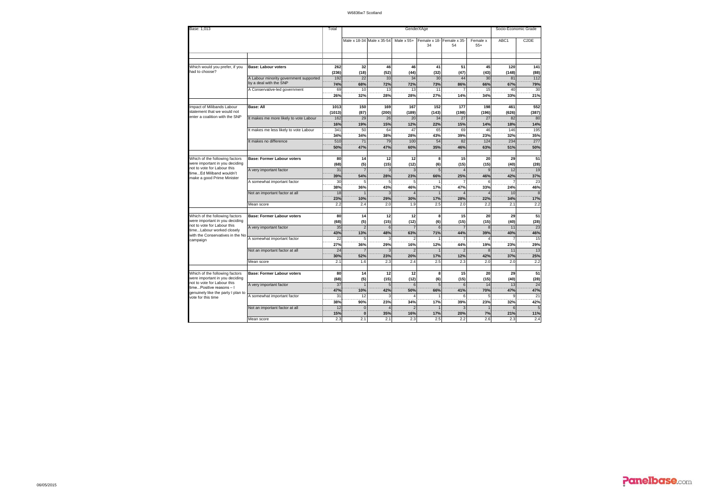| Base: 1,013                                                                                     |                                                                  |                      |                                 |                           | Socio-Economic Grade |                       |                       |                    |                   |                    |
|-------------------------------------------------------------------------------------------------|------------------------------------------------------------------|----------------------|---------------------------------|---------------------------|----------------------|-----------------------|-----------------------|--------------------|-------------------|--------------------|
|                                                                                                 |                                                                  |                      |                                 | Male x 18-34 Male x 35-54 | Male $x 55+$         | Female x 18-<br>34    | Female x 35-<br>54    | Female x<br>$55+$  | ABC1              | C <sub>2</sub> DE  |
|                                                                                                 |                                                                  |                      |                                 |                           |                      |                       |                       |                    |                   |                    |
| Which would you prefer, if you<br>had to choose?                                                | <b>Base: Labour voters</b>                                       | 262<br>(236)         | 32<br>(18)                      | 46<br>(52)                | 46<br>(44)           | 41<br>(32)            | 51<br>(47)            | 45<br>(43)         | 120<br>(148)      | 141<br>(88)        |
|                                                                                                 | A Labour minority government supported<br>by a deal with the SNP | 192<br>74%           | 22<br>68%                       | 33<br>72%                 | 34<br>72%            | 30<br>73%             | 44<br>86%             | 30<br>66%          | 81<br>67%         | 112<br>79%         |
|                                                                                                 | A Conservative-led government                                    | 69<br>26%            | 10<br>32%                       | 13<br>28%                 | 13<br>28%            | 11<br>27%             | 14%                   | 15<br>34%          | 40<br>33%         | 30<br>21%          |
| Impact of Milibands Labour<br>statement that we would not                                       | <b>Base: All</b>                                                 | 1013                 | 150                             | 169                       | 167                  | 152                   | 177                   | 198                | 461               | 552                |
| enter a coalition with the SNP                                                                  | It makes me more likely to vote Labour                           | (1013)<br>162<br>16% | (87)<br>29<br>19%               | (200)<br>26               | (189)<br>20          | (143)<br>34           | (198)<br>27           | (196)<br>27<br>14% | (626)<br>82       | (387)<br>80<br>14% |
|                                                                                                 | It makes me less likely to vote Labour                           | 341<br>34%           | 50<br>34%                       | 15%<br>64<br>38%          | 12%<br>47<br>28%     | 22%<br>65<br>43%      | 15%<br>69<br>39%      | 46<br>23%          | 18%<br>146<br>32% | 195<br>35%         |
|                                                                                                 | It makes no difference                                           | 510<br>50%           | 71<br>47%                       | 79<br>47%                 | 100<br>60%           | 54<br>35%             | 82<br>46%             | 124<br>63%         | 234<br>51%        | 277<br>50%         |
| Which of the following factors<br>were important in you deciding                                | <b>Base: Former Labour voters</b>                                | 80<br>(68)           | 14<br>(5)                       | 12<br>(15)                | 12<br>(12)           | 8                     | 15<br>(15)            | 20<br>(15)         | 29<br>(40)        | 51<br>(28)         |
| not to vote for Labour this<br>timeEd Miliband wouldn't                                         | A very important factor                                          | 31<br>39%            | 54%                             | 28%                       | 23%                  | (6)<br>5<br>66%       | $\overline{4}$<br>25% | 46%                | 12<br>42%         | 19<br>37%          |
| make a good Prime Minister                                                                      | A somewhat important factor                                      | 30<br>38%            | 36%                             | 43%                       | 46%                  | 17%                   | 47%                   | 33%                | 24%               | 23<br>46%          |
|                                                                                                 | Not an important factor at all                                   | 18<br>23%            | 10%                             | 29%                       | 30%                  | 17%                   | 28%                   | 22%                | 10<br>34%         | 8<br>17%           |
|                                                                                                 | Mean score                                                       | 2.2                  | 2.4                             | 2.0                       | 1.9                  | 2.5                   | 2.0                   | 2.2                | 2.1               | 2.2                |
| Which of the following factors<br>were important in you deciding                                | <b>Base: Former Labour voters</b>                                | 80<br>(68)           | 14<br>(5)                       | 12<br>(15)                | 12<br>(12)           | 8<br>(6)              | 15<br>(15)            | 20<br>(15)         | 29<br>(40)        | 51<br>(28)         |
| not to vote for Labour this<br>timeLabour worked closely<br>with the Conservatives in the No    | A very important factor                                          | 35<br>43%            | $\overline{\mathcal{L}}$<br>13% | 6<br>48%                  | 63%                  | 6 <sup>1</sup><br>71% | $\overline{7}$<br>44% | 8<br>39%           | 11<br>40%         | 23<br>46%          |
| campaign                                                                                        | A somewhat important factor                                      | 22<br>27%            | 36%                             | 29%                       | 16%                  | 12%                   | 44%                   | 19%                | 23%               | 15<br>29%          |
|                                                                                                 | Not an important factor at all<br>Mean score                     | 24<br>30%<br>2.1     | 52%<br>1.6                      | 23%<br>2.3                | 20%<br>2.4           | 17%<br>2.5            | 12%<br>2.3            | 8<br>42%<br>2.0    | 11<br>37%<br>2.0  | 13<br>25%<br>2.2   |
|                                                                                                 |                                                                  |                      |                                 |                           |                      |                       |                       |                    |                   |                    |
| Which of the following factors<br>were important in you deciding<br>not to vote for Labour this | <b>Base: Former Labour voters</b>                                | 80<br>(68)           | 14<br>(5)                       | 12<br>(15)                | 12<br>(12)           | 8<br>(6)              | 15<br>(15)            | 20<br>(15)         | 29<br>(40)        | 51<br>(28)         |
| timePositive reasons - I<br>genuinely like the party I plan to                                  | A very important factor                                          | 37<br>47%            | 10%                             | 42%                       | 50%                  | 5<br>66%              | 6<br>41%              | 14<br>70%          | 13<br>47%         | 24<br>47%          |
| vote for this time                                                                              | A somewhat important factor                                      | 31<br>38%            | 12<br>90%                       | 3<br>23%                  | 34%                  | 17%                   | 6<br>39%              | 23%                | 9<br>32%          | 21<br>42%          |
|                                                                                                 | Not an important factor at all                                   | 12<br>15%            | $\overline{0}$<br>$\mathbf{0}$  | 35%                       | 16%                  | 17%                   | 20%                   | 7%                 | 6<br>21%          | 5<br>11%           |
|                                                                                                 | Mean score                                                       | 2.3                  | 2.1                             | 2.1                       | 2.3                  | 2.5                   | 2.2                   | 2.6                | 2.3               | 2.4                |

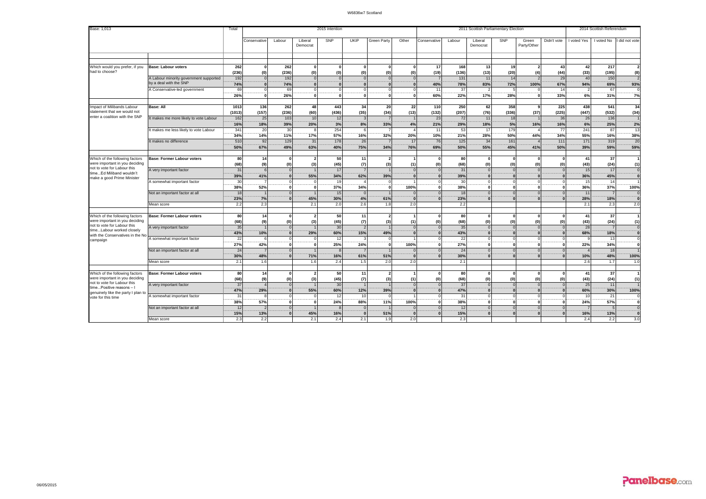| Base: 1,013                                                      |                                                                  | Total      | 2015 intention  |                      |                       |            |           |                                 | 2011 Scottish Parliamentary Election |                      |            |                      |                      |                        | 2014 Scottish Referendum |             |                |                         |
|------------------------------------------------------------------|------------------------------------------------------------------|------------|-----------------|----------------------|-----------------------|------------|-----------|---------------------------------|--------------------------------------|----------------------|------------|----------------------|----------------------|------------------------|--------------------------|-------------|----------------|-------------------------|
|                                                                  |                                                                  |            | Conservative    | Labour               | Liberal<br>Democrat   | SNP        | UKIP      | <b>Green Party</b>              | Other                                | Conservative         | Labour     | Liberal<br>Democrat  | SNP                  | Green<br>Party/Other   | Didn't vote              | I voted Yes | I voted No     | did not vote            |
|                                                                  |                                                                  |            |                 |                      |                       |            |           |                                 |                                      |                      |            |                      |                      |                        |                          |             |                |                         |
|                                                                  |                                                                  |            |                 |                      |                       |            |           |                                 |                                      |                      |            |                      |                      |                        |                          |             |                |                         |
| Which would you prefer, if you                                   | <b>Base: Labour voters</b>                                       | 262        | <b>n</b>        | 262                  | $\mathbf{0}$          |            |           | $\Omega$                        |                                      | 17                   | 168        | 13                   | 19                   | $\overline{2}$         | 43                       | 42          | 217            |                         |
| had to choose?                                                   |                                                                  | (236)      | (0)             | (236)                | (0)                   | (0)        | (0)       | (0)                             | (0)                                  | (19)                 | (136)      | (13)                 | (20)                 | (4)                    | (44)                     | (33)        | (195)          | (8)                     |
|                                                                  | A Labour minority government supported<br>by a deal with the SNP | 192<br>74% |                 | 192<br>74%           | $\Omega$<br>$\Omega$  |            |           | $\Omega$<br>$\mathbf{r}$        |                                      | 40%                  | 131<br>78% | 11<br>83%            | 14<br>72%            | $\overline{2}$<br>100% | 29<br>67%                | 40<br>94%   | 150<br>69%     | 93%                     |
|                                                                  | A Conservative-led government                                    | 69         | $\Omega$        | 69                   | $\Omega$              |            |           | $\Omega$                        |                                      | 11                   | 37         |                      | -5                   |                        | 14                       |             | 67             |                         |
|                                                                  |                                                                  | 26%        | οl              | 26%                  | $\mathbf{0}$          | $\Omega$   | $\Omega$  | $\mathbf{0}$                    |                                      | 60%                  | 22%        | 17%                  | 28%                  | 0                      | 33%                      | 6%          | 31%            | 7%                      |
| Impact of Milibands Labour                                       | <b>Base: All</b>                                                 | 1013       | 136             | 262                  | 48                    | 443        | 34        | 20                              | 22                                   | 110                  | 250        | 62                   | 358                  | 9                      | 225                      | 438         | 541            | 34                      |
| statement that we would not<br>enter a coalition with the SNP    |                                                                  | (1013)     | (157)           | (236)                | (60)                  | (436)      | (35)      | (34)                            | (13)                                 | (132)                | (207)      | (76)                 | (336)                | (37)                   | (225)                    | (447)       | (532)          | (34)                    |
|                                                                  | t makes me more likely to vote Labour                            | 162<br>16% | 25<br>18%       | 103<br>39%           | 10<br>20%             | 12<br>3%   | 8%        | 33%                             | 4%                                   | 23<br>21%            | 72<br>29%  | 11<br>18%            | 18<br>5%             | 16%                    | 36<br>16%                | 26<br>6%    | 136<br>25%     |                         |
|                                                                  | t makes me less likely to vote Labour                            | 341        | 20              | 30                   | -8                    | 254        |           |                                 |                                      | 11                   | 53         | 17                   | 179                  |                        | 77                       | 241         | 87             | 2%<br>13                |
|                                                                  |                                                                  | 34%        | 14%             | 11%                  | 17%                   | 57%        | 16%       | 32%                             | 20%                                  | 10%                  | 21%        | 28%                  | 50%                  | 44%                    | 34%                      | 55%         | 16%            | 38%                     |
|                                                                  | It makes no difference                                           | 510        | 92              | 129                  | 31                    | 178        | 26        |                                 | 17                                   | 76                   | 125        | 34                   | 161                  |                        | 111                      | 171         | 319            | 20                      |
|                                                                  |                                                                  | 50%        | 67%             | 49%                  | 63%                   | 40%        | 75%       | 34%                             | 76%                                  | 69%                  | 50%        | 55%                  | 45%                  | 41%                    | 50%                      | 39%         | 59%            | 59%                     |
| Which of the following factors                                   |                                                                  | 80         |                 | $\Omega$             |                       |            |           |                                 |                                      | $\Omega$             |            | O                    |                      | $\Omega$               |                          |             | 37             |                         |
| were important in you deciding                                   | Base: Former Labour voters                                       | (68)       | 14<br>(9)       | (0)                  | $\overline{2}$<br>(3) | 50<br>(45) | 11<br>(7) | $\overline{2}$<br>(3)           | (1)                                  | (0)                  | 80<br>(68) | (0)                  | $\mathbf{0}$<br>(0)  | (0)                    | (0)                      | 41<br>(43)  | (24)           | (1)                     |
| not to vote for Labour this                                      | A very important factor                                          | 31         | 6               | $\Omega$             |                       | 17         |           |                                 |                                      | $\Omega$             | 31         | $\overline{0}$       | $\Omega$             | $\Omega$               |                          | 15          | 17             | $\circ$                 |
| timeEd Miliband wouldn't<br>make a good Prime Minister           |                                                                  | 39%        | 41%             |                      | 55%                   | 34%        | 62%       | 39%                             |                                      | $\Omega$             | 39%        |                      | $\Omega$             |                        |                          | 36%         | 45%            | $\mathbf{0}$            |
|                                                                  | A somewhat important factor                                      | 30         |                 |                      | $\Omega$              | 19         |           | $\Omega$                        |                                      |                      | 30         |                      | $\overline{0}$       |                        |                          | 15          | 14             |                         |
|                                                                  |                                                                  | 38%        | 52%             |                      | $\Omega$              | 37%        | 34%       | $\Omega$                        | 100%                                 |                      | 38%        |                      | $\Omega$<br>$\Omega$ |                        |                          | 36%         | 37%            | 100%                    |
|                                                                  | Not an important factor at all                                   | 18<br>23%  | 7%              |                      | 45%                   | 15<br>30%  | 4%        | 61%                             |                                      |                      | 18<br>23%  |                      | $\Omega$             |                        |                          | 11<br>28%   | 18%            |                         |
|                                                                  | Mean score                                                       | 2.2        | 2.3             |                      | 2.1                   | 2.0        | 2.6       | 1.8                             | 2.0                                  |                      | 2.2        |                      |                      |                        |                          | 2.1         | 2.3            | 2.0                     |
|                                                                  |                                                                  |            |                 |                      |                       |            |           |                                 |                                      |                      |            |                      |                      |                        |                          |             |                |                         |
| Which of the following factors<br>were important in you deciding | Base: Former Labour voters                                       | 80<br>(68) | 14<br>(9)       | $\Omega$<br>(0)      | $\overline{2}$<br>(3) | 50<br>(45) | 11<br>(7) | $\overline{\phantom{a}}$<br>(3) | (1)                                  | $\Omega$<br>(0)      | 80<br>(68) | $\Omega$<br>(0)      | $\Omega$<br>(0)      | $\Omega$<br>(0)        | (0)                      | 41<br>(43)  | 37<br>(24)     |                         |
| not to vote for Labour this                                      | A very important factor                                          | 35         |                 | $\Omega$             |                       | 30         |           |                                 |                                      | $\Omega$             | 35         | $\Omega$             | $\Omega$             | $\Omega$               |                          | 28          | $\overline{7}$ | (1)<br>$\circ$          |
| timeLabour worked closely<br>with the Conservatives in the No    |                                                                  | 43%        | 10%             | $\Omega$             | 29%                   | 60%        | 15%       | 49%                             |                                      | $\bf{0}$             | 43%        | $\mathbf{0}$         | $\Omega$             | $\Omega$               |                          | 68%         | 18%            | $\overline{\mathbf{0}}$ |
| campaign                                                         | A somewhat important factor                                      | 22         | ĥ               |                      | $\Omega$              | 12         |           | $\Omega$                        |                                      |                      | 22         |                      | $\Omega$             | $\Omega$               |                          |             | 13             | $\Omega$                |
|                                                                  |                                                                  | 27%        | 42%             | $\Omega$             | $\Omega$              | 25%        | 24%       | $\Omega$                        | 100%                                 |                      | 27%        | O                    | $\Omega$             | $\sqrt{2}$             |                          | 22%         | 34%            |                         |
|                                                                  | Not an important factor at all                                   | 24<br>30%  | 48%             |                      | 71%                   | 16%        | 61%       | 51%                             |                                      |                      | 24<br>30%  |                      | $\Omega$<br>$\Omega$ |                        |                          | 10%         | 18<br>48%      | 100%                    |
|                                                                  | Mean score                                                       | 2.1        | 1.6             |                      | 1.6                   | 2.4        | 1.5       | 2.0                             | 2.0                                  |                      | 2.1        |                      |                      |                        |                          | 2.6         | 1.7            | 1.0                     |
|                                                                  |                                                                  |            |                 |                      |                       |            |           |                                 |                                      |                      |            |                      |                      |                        |                          |             |                |                         |
| Which of the following factors                                   | Base: Former Labour voters                                       | 80         | 14              | $\Omega$             | $\overline{2}$        | 50         | 11        | $\overline{2}$                  |                                      | O                    | 80         |                      | $\Omega$             | $\Omega$               |                          | 41          | 37             |                         |
| were important in you deciding<br>not to vote for Labour this    |                                                                  | (68)       | (9)             | (0)                  | (3)                   | (45)       | (7)       | (3)                             | (1)                                  | (0)                  | (68)       | (0)                  | (0)                  | (0)                    | (0)                      | (43)        | (24)           | (1)                     |
| timePositive reasons - I                                         | A very important factor                                          | 37<br>47%  | $\Delta$<br>29% | $\Omega$<br>$\Omega$ | $\overline{1}$<br>55% | 30<br>60%  | 12%       | 39%                             |                                      | $\Omega$<br>$\Omega$ | 37<br>47%  | $\Omega$<br>$\Omega$ | $\Omega$<br>$\Omega$ | $\Omega$<br>$\Omega$   |                          | 25<br>60%   | 11<br>30%      | 100%                    |
| genuinely like the party I plan to<br>vote for this time         | A somewhat important factor                                      | 31         |                 |                      | $\Omega$              | 12         | 10        | $\Omega$                        |                                      |                      | 31         | $\Omega$             | $\Omega$             | $\Omega$               |                          | 10          | 21             | $^{\circ}$              |
|                                                                  |                                                                  | 38%        | 57%             |                      | $\Omega$              | 24%        | 88%       | 11%                             | 100%                                 |                      | 38%        |                      | $\mathbf{0}$         | O                      |                          | 24%         | 57%            | ö                       |
|                                                                  | Not an important factor at all                                   | 12         |                 |                      |                       |            |           |                                 |                                      |                      | 12         |                      | $\Omega$             |                        |                          |             |                | $\Omega$                |
|                                                                  |                                                                  | 15%        | 13%             |                      | 45%                   | 16%        |           | 51%                             |                                      |                      | 15%        |                      | $\Omega$             |                        |                          | 16%         | 13%            |                         |
|                                                                  | Mean score                                                       | 2.3        | 2.2             |                      | 2.1                   | 2.4        | 2.1       | 1.9                             | 2.0                                  |                      | 2.3        |                      |                      |                        |                          | 2.4         | 2.2            | 3.0                     |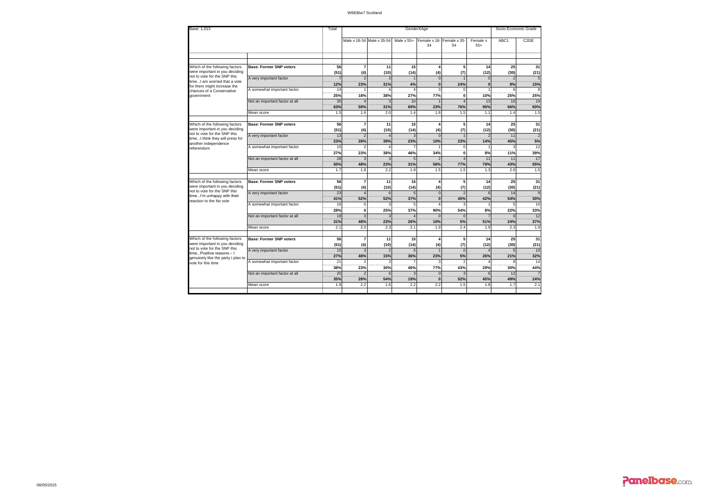| Base: 1.013                                                                                                          | Total                          |                  |                                 | Socio-Economic Grade      |                                |                                |                                 |                      |            |                                |
|----------------------------------------------------------------------------------------------------------------------|--------------------------------|------------------|---------------------------------|---------------------------|--------------------------------|--------------------------------|---------------------------------|----------------------|------------|--------------------------------|
|                                                                                                                      |                                |                  |                                 | Male x 18-34 Male x 35-54 | Male $x$ 55+                   | 34                             | Female x 18- Female x 35-<br>54 | Female x<br>$55+$    | ABC1       | C <sub>2</sub> DE              |
|                                                                                                                      |                                |                  |                                 |                           |                                |                                |                                 |                      |            |                                |
| Which of the following factors<br>were important in you deciding                                                     | <b>Base: Former SNP voters</b> | 56<br>(51)       | $\overline{7}$<br>(4)           | 11<br>(10)                | 15<br>(14)                     | $\overline{a}$<br>(4)          | 5 <sup>1</sup><br>(7)           | 14<br>(12)           | 25<br>(30) | 31<br>(21)                     |
| not to vote for the SNP this<br>timeI am worried that a vote<br>for them might increase the                          | A very important factor        | 12%              | $\overline{\phantom{a}}$<br>23% | 31%                       | 4%                             | $\Omega$<br>$\mathbf{0}$       | 24%                             | $\Omega$<br>$\Omega$ | 9%         | 5<br>15%                       |
| chances of a Conservative<br>government                                                                              | A somewhat important factor    | 14<br>25%        | 18%                             | 38%                       | 27%                            | s<br>77%                       | 0                               | 10%                  | 25%        | 25%                            |
|                                                                                                                      | Not an important factor at all | 35<br>63%        | 59%                             | 31%                       | 10<br>69%                      | 23%                            | 76%                             | 13<br>90%            | 16<br>66%  | 19<br>60%                      |
|                                                                                                                      | Mean score                     | 1.5              | 1.6                             | 2.0                       | 1.4                            | 1.8                            | 1.5                             | 1.1                  | 1.4        | 1.5                            |
| Which of the following factors<br>were important in you deciding                                                     | <b>Base: Former SNP voters</b> | 56<br>(51)       | $\overline{7}$<br>(4)           | 11<br>(10)                | 15<br>(14)                     | $\overline{a}$<br>(4)          | 5<br>(7)                        | 14<br>(12)           | 25<br>(30) | 31<br>(21)                     |
| not to vote for the SNP this<br>timeI think they will press for<br>another independence                              | A very important factor        | 13<br>23%        | $\mathfrak{D}$<br>28%           | 39%                       | $\overline{\mathbf{3}}$<br>23% | $\Omega$<br>10%                | 23%                             | 14%                  | 11<br>45%  | $\overline{\phantom{a}}$<br>5% |
| referendum                                                                                                           | A somewhat important factor    | 15<br>27%        | $\mathfrak{p}$<br>23%           | 38%                       | 46%                            | 34%                            | $\Omega$<br>0                   | 8%                   | 11%        | 12<br>39%                      |
|                                                                                                                      | Not an important factor at all | 28<br>50%        | 48%                             | 23%                       | 5<br>31%                       | 56%                            | <b>77%</b>                      | 11<br>79%            | 11<br>43%  | 17<br>55%                      |
|                                                                                                                      | Mean score                     | 1.7              | 1.8                             | 2.2                       | 1.9                            | 1.5                            | 1.5                             | 1.3                  | 2.0        | 1.5                            |
| Which of the following factors<br>were important in you deciding<br>not to vote for the SNP this                     | <b>Base: Former SNP voters</b> | 56<br>(51)       | $\overline{7}$<br>(4)           | 11<br>(10)                | 15<br>(14)                     | $\overline{a}$<br>(4)          | 5<br>(7)                        | 14<br>(12)           | 25<br>(30) | 31<br>(21)                     |
| timeI'm unhappy with their<br>reaction to the No vote                                                                | A very important factor        | 23<br>41%        | 52%                             | $\epsilon$<br>52%         | 37%                            | $\Omega$<br>$\mathbf{0}$       | 40%                             | 6<br>42%             | 14<br>54%  | 9<br>30%                       |
|                                                                                                                      | A somewhat important factor    | 16<br>28%        | $\mathbf 0$<br>$\mathbf{0}$     | 25%                       | 37%                            | $\overline{\Lambda}$<br>90%    | 54%                             | 8%                   | 22%        | 10<br>33%                      |
|                                                                                                                      | Not an important factor at all | 18<br>31%        | $\overline{a}$<br>48%           | 23%                       | 26%                            | $\sqrt{ }$<br>10%              | $\Omega$<br>5%                  | 51%                  | 24%        | 12<br>37%                      |
|                                                                                                                      | Mean score                     | 2.1              | 2.0                             | 2.3                       | 2.1                            | 1.9                            | 2.4                             | 1.9                  | 2.3        | 1.9                            |
| Which of the following factors<br>were important in you deciding                                                     | <b>Base: Former SNP voters</b> | 56<br>(51)       | $\overline{7}$<br>(4)           | 11<br>(10)                | 15<br>(14)                     | 4<br>(4)                       | 5<br>(7)                        | 14<br>(12)           | 25<br>(30) | 31<br>(21)                     |
| not to vote for the SNP this<br>timePositive reasons - I<br>genuinely like the party I plan to<br>vote for this time | A very important factor        | 15<br><b>27%</b> | 3<br>48%                        | 15%                       | 5<br>36%                       | 23%                            | $\Omega$<br>5%                  | 26%                  | 21%        | 10<br>32%                      |
|                                                                                                                      | A somewhat important factor    | 21<br>38%        | $\mathfrak{p}$<br>23%           | 30%                       | 7<br>46%                       | 3<br>77%                       | 43%                             | 29%                  | g<br>30%   | 14<br>44%                      |
|                                                                                                                      | Not an important factor at all | 20<br>35%        | $\overline{\phantom{a}}$<br>28% | 54%                       | $\mathbf{R}$<br>19%            | $\overline{0}$<br>$\mathbf{0}$ | 52%                             | $\epsilon$<br>45%    | 12<br>49%  | 24%                            |
|                                                                                                                      | Mean score                     | 1.9              | 2.2                             | 1.6                       | 2.2                            | 2.2                            | 1.5                             | 1.8                  | 1.7        | 2.1                            |